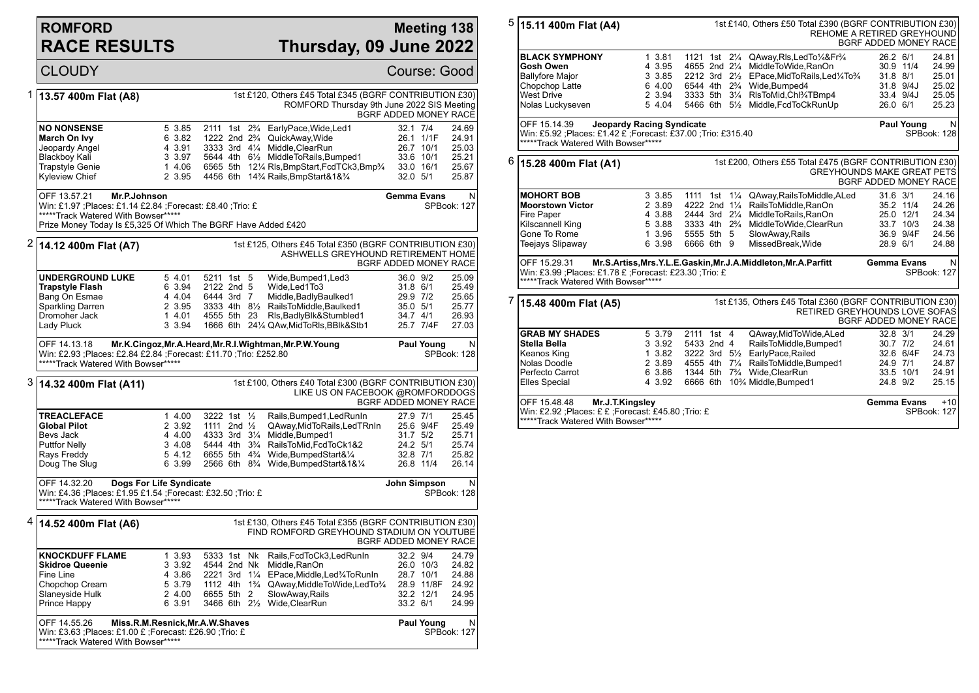## **ROMFORD RACE RESULTS**

## **Meeting 138 Thursday, 09 June 2022**

|   | <b>CLOUDY</b>                                                                                                                                                                                                                               |                                                                                                                                                                                                            |                                                                                                                                             |                                                                                                                                                                                                                                                                        | Course: Good                                                              |                                                    |  |  |  |
|---|---------------------------------------------------------------------------------------------------------------------------------------------------------------------------------------------------------------------------------------------|------------------------------------------------------------------------------------------------------------------------------------------------------------------------------------------------------------|---------------------------------------------------------------------------------------------------------------------------------------------|------------------------------------------------------------------------------------------------------------------------------------------------------------------------------------------------------------------------------------------------------------------------|---------------------------------------------------------------------------|----------------------------------------------------|--|--|--|
| 1 | 13.57 400m Flat (A8)                                                                                                                                                                                                                        |                                                                                                                                                                                                            |                                                                                                                                             | 1st £120, Others £45 Total £345 (BGRF CONTRIBUTION £30)<br>ROMFORD Thursday 9th June 2022 SIS Meeting                                                                                                                                                                  | BGRF ADDED MONEY RACE                                                     |                                                    |  |  |  |
|   | <b>NO NONSENSE</b><br>March On Ivy<br>Jeopardy Angel<br><b>Blackboy Kali</b><br><b>Trapstyle Genie</b><br>Kyleview Chief                                                                                                                    | 5 3.85<br>6 3.82<br>4 3.91<br>3 3.97<br>1 4.06<br>2 3.95                                                                                                                                                   |                                                                                                                                             | 2111 1st 2% EarlyPace, Wide, Led1<br>1222 2nd 2 <sup>3</sup> / <sub>4</sub> QuickAway, Wide<br>3333 3rd 41/4 Middle, ClearRun<br>5644 4th 61/ <sub>2</sub> MiddleToRails, Bumped1<br>6565 5th 121/4 RIs, BmpStart, FcdTCk3, Bmp3/4<br>4456 6th 14% Rails, BmpStart&1&% | 32.1 7/4<br>26.1 1/1F<br>26.7 10/1<br>33.6 10/1<br>33.0 16/1<br>32.0 5/1  | 24.69<br>24.91<br>25.03<br>25.21<br>25.67<br>25.87 |  |  |  |
|   | OFF 13.57.21<br>N<br>Mr.P.Johnson<br><b>Gemma Evans</b><br>Win: £1.97 ;Places: £1.14 £2.84 ;Forecast: £8.40 ;Trio: £<br>SPBook: 127<br>*****Track Watered With Bowser*****<br>Prize Money Today Is £5,325 Of Which The BGRF Have Added £420 |                                                                                                                                                                                                            |                                                                                                                                             |                                                                                                                                                                                                                                                                        |                                                                           |                                                    |  |  |  |
|   | $2 $ 14.12 400m Flat (A7)                                                                                                                                                                                                                   |                                                                                                                                                                                                            |                                                                                                                                             | 1st £125, Others £45 Total £350 (BGRF CONTRIBUTION £30)<br>ASHWELLS GREYHOUND RETIREMENT HOME                                                                                                                                                                          | BGRF ADDED MONEY RACE                                                     |                                                    |  |  |  |
|   | <b>UNDERGROUND LUKE</b><br><b>Trapstyle Flash</b><br>Bang On Esmae<br>Sparkling Darren<br>Dromoher Jack<br>Lady Pluck                                                                                                                       | 5 4.01<br>6 3.94<br>4 4.04<br>2 3.95<br>1 4.01<br>3 3.94                                                                                                                                                   | 5211 1st 5<br>2122 2nd 5<br>6444 3rd 7<br>4555 5th 23                                                                                       | Wide, Bumped 1, Led 3<br>Wide, Led1To3<br>Middle, Badly Baulked1<br>3333 4th 81/ <sub>2</sub> RailsToMiddle.Baulked1<br>Rls, Badly Blk&Stumbled1<br>1666 6th 241/4 QAw, MidToRIs, BBIk&Stb1                                                                            | 36.0 9/2<br>31.8 6/1<br>29.9 7/2<br>35.0 5/1<br>34.7 4/1<br>25.7 7/4F     | 25.09<br>25.49<br>25.65<br>25.77<br>26.93<br>27.03 |  |  |  |
|   | OFF 14.13.18                                                                                                                                                                                                                                | Mr.K.Cingoz, Mr.A.Heard, Mr.R.I.Wightman, Mr.P.W.Young<br><b>Paul Young</b><br>N<br>Win: £2.93 ;Places: £2.84 £2.84 ;Forecast: £11.70 ;Trio: £252.80<br>SPBook: 128<br>*****Track Watered With Bowser***** |                                                                                                                                             |                                                                                                                                                                                                                                                                        |                                                                           |                                                    |  |  |  |
| 3 | 1st £100, Others £40 Total £300 (BGRF CONTRIBUTION £30)<br> 14.32 400m Flat (A11)<br>LIKE US ON FACEBOOK @ROMFORDDOGS<br>BGRF ADDED MONEY RACE                                                                                              |                                                                                                                                                                                                            |                                                                                                                                             |                                                                                                                                                                                                                                                                        |                                                                           |                                                    |  |  |  |
|   | <b>TREACLEFACE</b><br><b>Global Pilot</b><br>Bevs Jack<br><b>Puttfor Nelly</b><br>Rays Freddy<br>Doug The Slug                                                                                                                              | 1 4.00<br>2 3.92<br>4 4.00<br>3, 4.08<br>5, 4.12<br>6 3.99                                                                                                                                                 | 3222 1st 1/2<br>1111 2nd $\frac{1}{2}$<br>4333 3rd 31/4<br>5444 4th 3 <sup>3</sup> / <sub>4</sub><br>6655 5th 4 <sup>3</sup> / <sub>4</sub> | Rails, Bumped1, Led RunIn<br>QAway,MidToRails,LedTRnIn<br>Middle, Bumped1<br>RailsToMid, FcdToCk1&2<br>Wide, BumpedStart&1/4<br>2566 6th 8 <sup>3</sup> / <sub>4</sub> Wide, Bumped Start & 1& 1/ <sub>4</sub>                                                         | 27.9 7/1<br>25.6 9/4F<br>31.7 5/2<br>24.2 5/1<br>32.8 7/1<br>26.8 11/4    | 25.45<br>25.49<br>25.71<br>25.74<br>25.82<br>26.14 |  |  |  |
|   | OFF 14.32.20<br>Dogs For Life Syndicate<br>Win: £4.36 ;Places: £1.95 £1.54 ;Forecast: £32.50 ;Trio: £<br>*****Track Watered With Bowser*****                                                                                                | John Simpson                                                                                                                                                                                               | N<br>SPBook: 128                                                                                                                            |                                                                                                                                                                                                                                                                        |                                                                           |                                                    |  |  |  |
|   |                                                                                                                                                                                                                                             |                                                                                                                                                                                                            |                                                                                                                                             | 1st £130, Others £45 Total £355 (BGRF CONTRIBUTION £30)<br>FIND ROMFORD GREYHOUND STADIUM ON YOUTUBE                                                                                                                                                                   | BGRF ADDED MONEY RACE                                                     |                                                    |  |  |  |
|   | <b>KNOCKDUFF FLAME</b><br><b>Skidroe Queenie</b><br>Fine Line<br>Chopchop Cream<br>Slaneyside Hulk<br>Prince Happy                                                                                                                          | 1 3.93<br>3 3.92<br>4 3.86<br>5 3.79<br>2 4.00<br>6 3.91                                                                                                                                                   | 5333 1st Nk<br>4544 2nd Nk<br>2221 3rd 11/4<br>1112 4th 1 <sup>3</sup> / <sub>4</sub><br>6655 5th 2                                         | Rails, FcdToCk3, Led RunIn<br>Middle, RanOn<br>EPace, Middle, Led <sup>3</sup> / <sub>4</sub> To Run In<br>QAway, Middle To Wide, Led To 3/4<br>SlowAway, Rails<br>3466 6th 21/2 Wide, Clear Run                                                                       | 32.2 9/4<br>26.0 10/3<br>28.7 10/1<br>28.9 11/8F<br>32.2 12/1<br>33.2 6/1 | 24.79<br>24.82<br>24.88<br>24.92<br>24.95<br>24.99 |  |  |  |
|   | OFF 14.55.26<br>Miss.R.M.Resnick, Mr.A.W.Shaves<br>Win: £3.63 ;Places: £1.00 £ ;Forecast: £26.90 ;Trio: £<br>*****Track Watered With Bowser*****                                                                                            | <b>Paul Young</b><br>SPBook: 127                                                                                                                                                                           | N                                                                                                                                           |                                                                                                                                                                                                                                                                        |                                                                           |                                                    |  |  |  |

| 5 | 15.11 400m Flat (A4)                                                                                                                                    |                                                                                                                                                                   |                                                          |                                                                                     |  |  | 1st £140, Others £50 Total £390 (BGRF CONTRIBUTION £30)<br><b>REHOME A RETIRED GREYHOUND</b>                                                                                                                                                      | <b>BGRF ADDED MONEY RACE</b>                 |                                                  |                                                    |
|---|---------------------------------------------------------------------------------------------------------------------------------------------------------|-------------------------------------------------------------------------------------------------------------------------------------------------------------------|----------------------------------------------------------|-------------------------------------------------------------------------------------|--|--|---------------------------------------------------------------------------------------------------------------------------------------------------------------------------------------------------------------------------------------------------|----------------------------------------------|--------------------------------------------------|----------------------------------------------------|
|   | <b>BLACK SYMPHONY</b><br><b>Gosh Owen</b><br><b>Ballyfore Major</b>                                                                                     |                                                                                                                                                                   | 1 3.81<br>4 3.95<br>3 3.85                               |                                                                                     |  |  | 1121 1st 21/4 QAway, RIs, Led To 1/4& Fr <sup>3/4</sup><br>4655 2nd 21/4 MiddleToWide, RanOn<br>2212 3rd 21/2 EPace, MidToRails, Led <sup>1</sup> /4To <sup>3</sup> /4                                                                            | 26.2 6/1<br>31.8 8/1                         | 30.9 11/4                                        | 24.81<br>24.99<br>25.01                            |
|   | Chopchop Latte<br><b>West Drive</b><br>Nolas Luckyseven                                                                                                 |                                                                                                                                                                   | 6 4.00<br>2 3.94<br>5 4.04                               |                                                                                     |  |  | 6544 4th 2 <sup>3</sup> / <sub>4</sub> Wide, Bumped 4<br>3333 5th 31/4 RIsToMid, Chl <sup>3</sup> /4TBmp4<br>5466 6th 51/2 Middle, FcdToCkRunUp                                                                                                   | 26.0 6/1                                     | 31.8 9/4J<br>33.4 9/4J                           | 25.02<br>25.05<br>25.23                            |
|   | OFF 15.14.39<br><b>Jeopardy Racing Syndicate</b><br>Win: £5.92 ;Places: £1.42 £ ;Forecast: £37.00 ;Trio: £315.40<br>*****Track Watered With Bowser***** |                                                                                                                                                                   |                                                          |                                                                                     |  |  |                                                                                                                                                                                                                                                   |                                              | <b>Paul Young</b>                                | N<br>SPBook: 128                                   |
| 6 | 15.28 400m Flat (A1)                                                                                                                                    |                                                                                                                                                                   |                                                          |                                                                                     |  |  | 1st £200, Others £55 Total £475 (BGRF CONTRIBUTION £30)<br><b>GREYHOUNDS MAKE GREAT PETS</b>                                                                                                                                                      | BGRF ADDED MONEY RACE                        |                                                  |                                                    |
|   | <b>MOHORT BOB</b><br><b>Moorstown Victor</b><br>Fire Paper<br>Kilscannell King<br>Gone To Rome<br><b>Teejays Slipaway</b>                               |                                                                                                                                                                   | 3 3.85<br>2 3.89<br>4 3.88<br>5 3.88<br>1 3.96<br>6 3.98 | 2444 3rd 21/4<br>3333 4th 2 <sup>3</sup> / <sub>4</sub><br>5555 5th 5<br>6666 6th 9 |  |  | 1111 1st 11/4 QAway, Rails To Middle, ALed<br>4222 2nd 11/4 RailsToMiddle, RanOn<br>MiddleToRails.RanOn<br>MiddleToWide,ClearRun<br>SlowAway, Rails<br>MissedBreak, Wide                                                                          | 31.6 3/1<br>28.9 6/1                         | 35.2 11/4<br>25.0 12/1<br>33.7 10/3<br>36.9 9/4F | 24.16<br>24.26<br>24.34<br>24.38<br>24.56<br>24.88 |
|   | OFF 15.29.31                                                                                                                                            | Mr.S.Artiss, Mrs.Y.L.E.Gaskin, Mr.J.A.Middleton, Mr.A.Parfitt<br>Win: £3.99 ; Places: £1.78 £ ; Forecast: £23.30 ; Trio: £<br>*****Track Watered With Bowser***** |                                                          |                                                                                     |  |  |                                                                                                                                                                                                                                                   | <b>Gemma Evans</b>                           |                                                  | N<br>SPBook: 127                                   |
| 7 | 15.48 400m Flat (A5)                                                                                                                                    |                                                                                                                                                                   |                                                          |                                                                                     |  |  | 1st £135, Others £45 Total £360 (BGRF CONTRIBUTION £30)<br><b>RETIRED GREYHOUNDS LOVE SOFAS</b>                                                                                                                                                   | <b>BGRF ADDED MONEY RACE</b>                 |                                                  |                                                    |
|   | <b>GRAB MY SHADES</b><br>Stella Bella<br>Keanos King<br>Nolas Doodle<br>Perfecto Carrot<br><b>Elles Special</b>                                         |                                                                                                                                                                   | 5 3.79<br>3 3.92<br>1 3.82<br>2 3.89<br>6 3.86<br>4 3.92 | 2111 1st 4<br>5433 2nd 4                                                            |  |  | QAway, MidToWide, ALed<br>RailsToMiddle, Bumped1<br>3222 3rd 51/2 EarlyPace, Railed<br>4555 4th 71/4 RailsToMiddle, Bumped1<br>1344 5th 7 <sup>3</sup> / <sub>4</sub> Wide, Clear Run<br>6666 6th 10 <sup>3</sup> / <sub>4</sub> Middle, Bumped 1 | 32.8 3/1<br>30.7 7/2<br>24.9 7/1<br>24.8 9/2 | 32.6 6/4F<br>33.5 10/1                           | 24.29<br>24.61<br>24.73<br>24.87<br>24.91<br>25.15 |
|   | OFF 15.48.48<br>Mr.J.T.Kingsley<br>Win: £2.92 ; Places: £ £ ; Forecast: £45.80 ; Trio: £<br>*****Track Watered With Bowser*****                         |                                                                                                                                                                   |                                                          |                                                                                     |  |  |                                                                                                                                                                                                                                                   | <b>Gemma Evans</b>                           |                                                  | $+10$<br><b>SPBook: 127</b>                        |